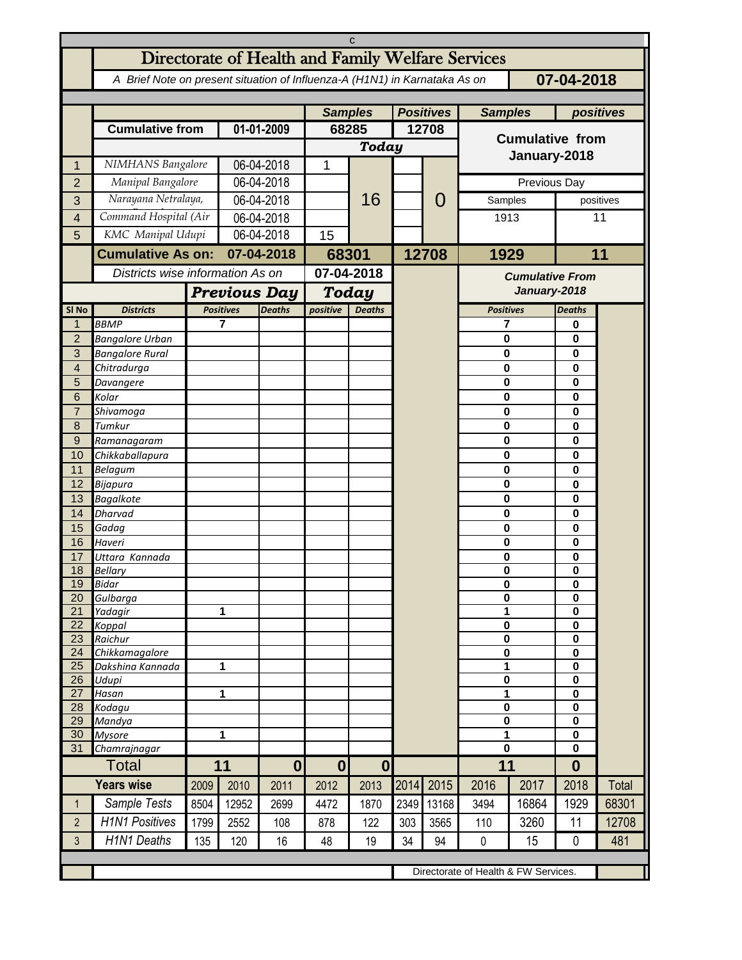|                     | C                                                                                        |                                  |                                   |                |                           |                  |       |       |                        |                                      |                              |       |  |  |
|---------------------|------------------------------------------------------------------------------------------|----------------------------------|-----------------------------------|----------------|---------------------------|------------------|-------|-------|------------------------|--------------------------------------|------------------------------|-------|--|--|
|                     | Directorate of Health and Family Welfare Services                                        |                                  |                                   |                |                           |                  |       |       |                        |                                      |                              |       |  |  |
|                     | 07-04-2018<br>A Brief Note on present situation of Influenza-A (H1N1) in Karnataka As on |                                  |                                   |                |                           |                  |       |       |                        |                                      |                              |       |  |  |
|                     |                                                                                          |                                  |                                   |                |                           |                  |       |       |                        |                                      |                              |       |  |  |
|                     |                                                                                          |                                  |                                   | <b>Samples</b> |                           | <b>Positives</b> |       |       | <b>Samples</b>         |                                      | positives                    |       |  |  |
|                     | <b>Cumulative from</b>                                                                   |                                  | 01-01-2009                        |                | 68285                     |                  | 12708 |       | <b>Cumulative from</b> |                                      |                              |       |  |  |
|                     |                                                                                          |                                  |                                   |                | <b>Today</b>              |                  |       |       |                        |                                      |                              |       |  |  |
| 1                   | NIMHANS Bangalore                                                                        |                                  | 06-04-2018                        |                | $\mathbf{1}$              |                  |       |       | January-2018           |                                      |                              |       |  |  |
| $\overline{2}$      | Manipal Bangalore                                                                        |                                  | 06-04-2018                        |                |                           |                  |       |       | Previous Day           |                                      |                              |       |  |  |
|                     | Narayana Netralaya,                                                                      |                                  | 06-04-2018                        |                |                           | 16               |       | O     | Samples                |                                      | positives                    |       |  |  |
| 3                   | Command Hospital (Air                                                                    |                                  |                                   |                |                           |                  |       |       |                        |                                      | 11                           |       |  |  |
| $\overline{4}$      |                                                                                          |                                  | 06-04-2018                        |                |                           |                  |       |       | 1913                   |                                      |                              |       |  |  |
| 5                   | KMC Manipal Udupi                                                                        |                                  | 06-04-2018                        |                | 15                        |                  |       |       |                        |                                      |                              |       |  |  |
|                     | <b>Cumulative As on:</b>                                                                 |                                  | 07-04-2018                        |                | 68301                     |                  |       | 12708 | 1929                   | 11                                   |                              |       |  |  |
|                     |                                                                                          | Districts wise information As on |                                   |                | 07-04-2018                |                  |       |       | <b>Cumulative From</b> |                                      |                              |       |  |  |
|                     |                                                                                          | <b>Previous Day</b>              |                                   |                | Today                     |                  |       |       | January-2018           |                                      |                              |       |  |  |
| SI <sub>No</sub>    | <b>Districts</b>                                                                         |                                  | <b>Positives</b><br><b>Deaths</b> |                | positive<br><b>Deaths</b> |                  |       |       | <b>Positives</b>       |                                      | <b>Deaths</b>                |       |  |  |
| $\mathbf{1}$        | <b>BBMP</b>                                                                              |                                  | 7                                 |                |                           |                  |       |       | 7                      |                                      | 0                            |       |  |  |
| $\overline{2}$      | <b>Bangalore Urban</b>                                                                   |                                  |                                   |                |                           |                  |       |       | $\bf{0}$               |                                      | 0                            |       |  |  |
| 3                   | <b>Bangalore Rural</b>                                                                   |                                  |                                   |                |                           |                  |       |       | 0                      |                                      | $\mathbf{0}$<br>$\mathbf{0}$ |       |  |  |
| $\overline{4}$<br>5 | Chitradurga<br>Davangere                                                                 |                                  |                                   |                |                           |                  |       |       | $\bf{0}$<br>$\bf{0}$   |                                      | $\mathbf{0}$                 |       |  |  |
| 6                   | Kolar                                                                                    |                                  |                                   |                |                           |                  |       |       | $\bf{0}$               |                                      | $\mathbf{0}$                 |       |  |  |
| $\overline{7}$      | Shivamoga                                                                                |                                  |                                   |                |                           |                  |       |       | $\bf{0}$               |                                      | $\mathbf{0}$                 |       |  |  |
| 8                   | Tumkur                                                                                   |                                  |                                   |                |                           |                  |       |       | $\bf{0}$               |                                      | $\mathbf{0}$                 |       |  |  |
| $\mathsf 9$         | Ramanagaram                                                                              |                                  |                                   |                |                           |                  |       |       | $\bf{0}$               |                                      | $\mathbf{0}$                 |       |  |  |
| 10                  | Chikkaballapura                                                                          |                                  |                                   |                |                           |                  |       |       | $\bf{0}$               |                                      | $\mathbf{0}$                 |       |  |  |
| 11                  | Belagum                                                                                  |                                  |                                   |                |                           |                  |       |       | 0                      |                                      | $\mathbf{0}$                 |       |  |  |
| 12                  | Bijapura                                                                                 |                                  |                                   |                |                           |                  |       |       | $\bf{0}$               |                                      | $\mathbf{0}$                 |       |  |  |
| 13<br>14            | <b>Bagalkote</b><br><b>Dharvad</b>                                                       |                                  |                                   |                |                           |                  |       |       | 0<br>$\bf{0}$          |                                      | $\mathbf{0}$<br>$\mathbf{0}$ |       |  |  |
| 15                  | Gadag                                                                                    |                                  |                                   |                |                           |                  |       |       | 0                      |                                      | $\mathbf{0}$                 |       |  |  |
| 16                  | Haveri                                                                                   |                                  |                                   |                |                           |                  |       |       | $\mathbf 0$            |                                      | $\mathbf 0$                  |       |  |  |
| 17                  | Uttara Kannada                                                                           |                                  |                                   |                |                           |                  |       |       | 0                      |                                      | $\mathbf 0$                  |       |  |  |
| 18                  | <b>Bellary</b>                                                                           |                                  |                                   |                |                           |                  |       |       | 0                      |                                      | $\bf{0}$                     |       |  |  |
| 19                  | Bidar                                                                                    |                                  |                                   |                |                           |                  |       |       | $\bf{0}$               |                                      | $\pmb{0}$                    |       |  |  |
| 20<br>21            | Gulbarga                                                                                 |                                  |                                   | 1              |                           |                  |       |       | 0<br>1                 |                                      | 0<br>$\mathbf 0$             |       |  |  |
| 22                  | Yadagir<br>Koppal                                                                        |                                  |                                   |                |                           |                  |       |       | 0                      |                                      | 0                            |       |  |  |
| 23                  | Raichur                                                                                  |                                  |                                   |                |                           |                  |       |       | 0                      |                                      | 0                            |       |  |  |
| 24                  | Chikkamagalore                                                                           |                                  |                                   |                |                           |                  |       |       | 0                      |                                      | $\mathbf 0$                  |       |  |  |
| 25                  | Dakshina Kannada                                                                         |                                  | 1                                 |                |                           |                  |       |       | 1                      |                                      | 0                            |       |  |  |
| 26<br>27            | Udupi                                                                                    |                                  |                                   |                |                           |                  |       |       | 0<br>1                 |                                      | 0                            |       |  |  |
| 28                  | Hasan<br>Kodagu                                                                          |                                  | 1                                 |                |                           |                  |       |       | 0                      |                                      | $\mathbf 0$<br>$\mathbf 0$   |       |  |  |
| 29                  | Mandya                                                                                   |                                  |                                   |                |                           |                  |       |       | $\pmb{0}$              |                                      | 0                            |       |  |  |
| 30                  | <b>Mysore</b>                                                                            | 1                                |                                   |                |                           |                  |       |       | 1                      |                                      | 0                            |       |  |  |
| 31                  | Chamrajnagar                                                                             |                                  |                                   |                |                           |                  |       |       | $\bf{0}$               |                                      | $\mathbf{0}$                 |       |  |  |
|                     | Total                                                                                    | 11                               |                                   | $\bf{0}$       | $\bf{0}$                  | $\bf{0}$         |       |       | 11                     |                                      | $\bf{0}$                     |       |  |  |
|                     | <b>Years wise</b>                                                                        | 2009                             | 2010                              | 2011           | 2012                      | 2013             | 2014  | 2015  | 2016                   | 2017                                 | 2018                         | Total |  |  |
| $\mathbf{1}$        | Sample Tests                                                                             | 8504                             | 12952                             | 2699           | 4472                      | 1870             | 2349  | 13168 | 3494                   | 16864                                | 1929                         | 68301 |  |  |
| $\overline{2}$      | <b>H1N1 Positives</b>                                                                    | 1799                             | 2552                              | 108            | 878                       | 122              | 303   | 3565  | 110                    | 3260                                 | 11                           | 12708 |  |  |
| 3                   | <b>H1N1 Deaths</b>                                                                       | 135                              | 120                               | 16             | 48                        | 19               | 34    | 94    | $\pmb{0}$              | 15                                   | 0                            | 481   |  |  |
|                     |                                                                                          |                                  |                                   |                |                           |                  |       |       |                        |                                      |                              |       |  |  |
|                     |                                                                                          |                                  |                                   |                |                           |                  |       |       |                        | Directorate of Health & FW Services. |                              |       |  |  |